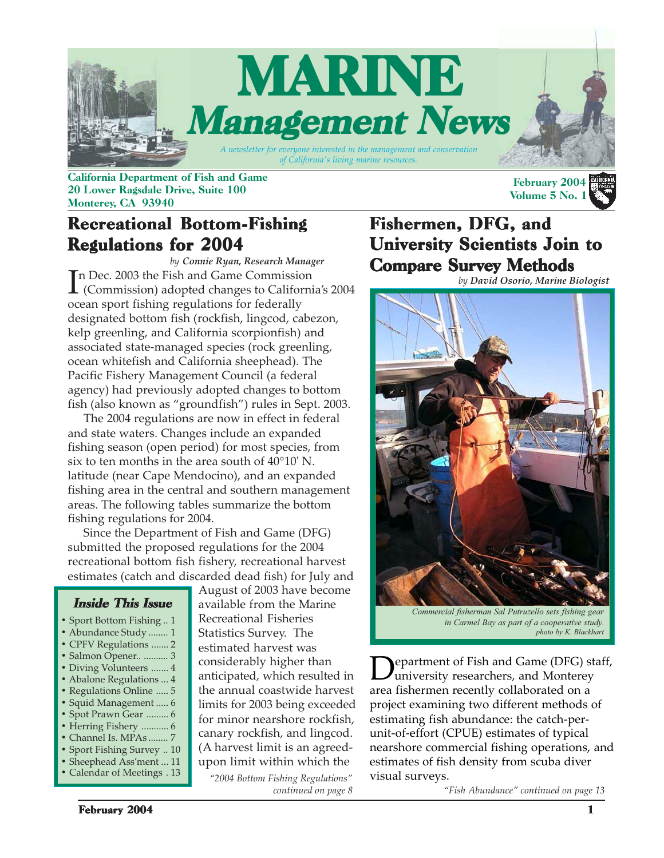

California Department of Fish and Game 20 Lower Ragsdale Drive, Suite 100 Monterey, CA 93940

## Recreational Bottom-Fishing Regulations for 2004

In Dec. 2003 the Fish and Game Commission<br>
(Commission) adopted changes to California's 2004 n Dec. 2003 the Fish and Game Commission ocean sport fishing regulations for federally designated bottom fish (rockfish, lingcod, cabezon, kelp greenling, and California scorpionfish) and associated state-managed species (rock greenling, ocean whitefish and California sheephead). The Pacific Fishery Management Council (a federal agency) had previously adopted changes to bottom fish (also known as "groundfish") rules in Sept. 2003. *by Connie Ryan, Research Manager*

 The 2004 regulations are now in effect in federal and state waters. Changes include an expanded fishing season (open period) for most species, from six to ten months in the area south of 40°10' N. latitude (near Cape Mendocino), and an expanded fishing area in the central and southern management areas. The following tables summarize the bottom fishing regulations for 2004.

 Since the Department of Fish and Game (DFG) submitted the proposed regulations for the 2004 recreational bottom fish fishery, recreational harvest estimates (catch and discarded dead fish) for July and

#### Inside This Issue

- **•** Sport Bottom Fishing .. 1
- **•** Abundance Study ........ 1
- **•** CPFV Regulations ....... 2
- **•** Salmon Opener.. .......... 3
- **•** Diving Volunteers ....... 4
- **•** Abalone Regulations ... 4 **•** Regulations Online ..... 5
- **•** Squid Management ..... 6
- **•** Spot Prawn Gear ......... 6
- **•** Herring Fishery ........... 6
- **•** Channel Is. MPAs ........ 7
- **•** Sport Fishing Survey .. 10
- **•** Sheephead Ass'ment ... 11

**•** Calendar of Meetings . 13

*"2004 Bottom Fishing Regulations"* August of 2003 have become available from the Marine Recreational Fisheries Statistics Survey. The estimated harvest was considerably higher than anticipated, which resulted in the annual coastwide harvest limits for 2003 being exceeded for minor nearshore rockfish, canary rockfish, and lingcod. (A harvest limit is an agreedupon limit within which the

*continued on page 8*

## Fishermen, DFG, and University Scientists Join to **Compare Survey Methods**

*by David Osorio, Marine Biologist*

February 2004 Volume 5 No. 1



*in Carmel Bay as part of a cooperative study. photo by K. Blackhart*

epartment of Fish and Game (DFG) staff, university researchers, and Monterey area fishermen recently collaborated on a project examining two different methods of estimating fish abundance: the catch-perunit-of-effort (CPUE) estimates of typical nearshore commercial fishing operations, and estimates of fish density from scuba diver visual surveys.

*"Fish Abundance" continued on page 13*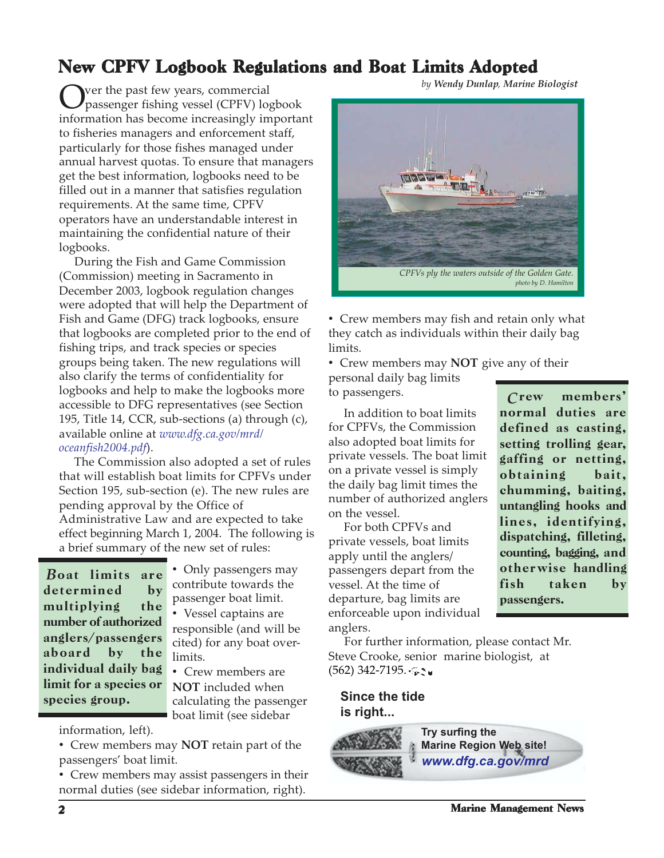## New CPFV Logbook Regulations and Boat Limits Adopted

Over the past few years, commercial passenger fishing vessel (CPFV) logbook information has become increasingly important to fisheries managers and enforcement staff, particularly for those fishes managed under annual harvest quotas. To ensure that managers get the best information, logbooks need to be filled out in a manner that satisfies regulation requirements. At the same time, CPFV operators have an understandable interest in maintaining the confidential nature of their logbooks.

 During the Fish and Game Commission (Commission) meeting in Sacramento in December 2003, logbook regulation changes were adopted that will help the Department of Fish and Game (DFG) track logbooks, ensure that logbooks are completed prior to the end of fishing trips, and track species or species groups being taken. The new regulations will also clarify the terms of confidentiality for logbooks and help to make the logbooks more accessible to DFG representatives (see Section 195, Title 14, CCR, sub-sections (a) through (c), available online at *www.dfg.ca.gov/mrd/ oceanfish2004.pdf*).

 The Commission also adopted a set of rules that will establish boat limits for CPFVs under Section 195, sub-section (e). The new rules are pending approval by the Office of Administrative Law and are expected to take effect beginning March 1, 2004. The following is a brief summary of the new set of rules:

Boat limits are determined by multiplying the number of authorized anglers/passengers aboard by the individual daily bag limit for a species or species group.

• Only passengers may contribute towards the passenger boat limit.

• Vessel captains are responsible (and will be cited) for any boat overlimits.

• Crew members are **NOT** included when calculating the passenger **boat limit (see sidebar** 

information, left).

• Crew members may **NOT** retain part of the passengers' boat limit.

• Crew members may assist passengers in their normal duties (see sidebar information, right).

*by Wendy Dunlap, Marine Biologist*



• Crew members may fish and retain only what they catch as individuals within their daily bag limits.

• Crew members may **NOT** give any of their personal daily bag limits to passengers.

 In addition to boat limits for CPFVs, the Commission also adopted boat limits for private vessels. The boat limit on a private vessel is simply the daily bag limit times the number of authorized anglers on the vessel.

 For both CPFVs and private vessels, boat limits apply until the anglers/ passengers depart from the vessel. At the time of departure, bag limits are enforceable upon individual anglers.

members normal duties are defined as casting, setting trolling gear, gaffing or netting, obtaining bait, chumming, baiting, untangling hooks and lines, identifying, dispatching, filleting, counting, bagging, and otherwise handling fish taken by passengers. *C*

 For further information, please contact Mr. Steve Crooke, senior marine biologist, at  $(562)$  342-7195.

#### **Since the tide is right...**

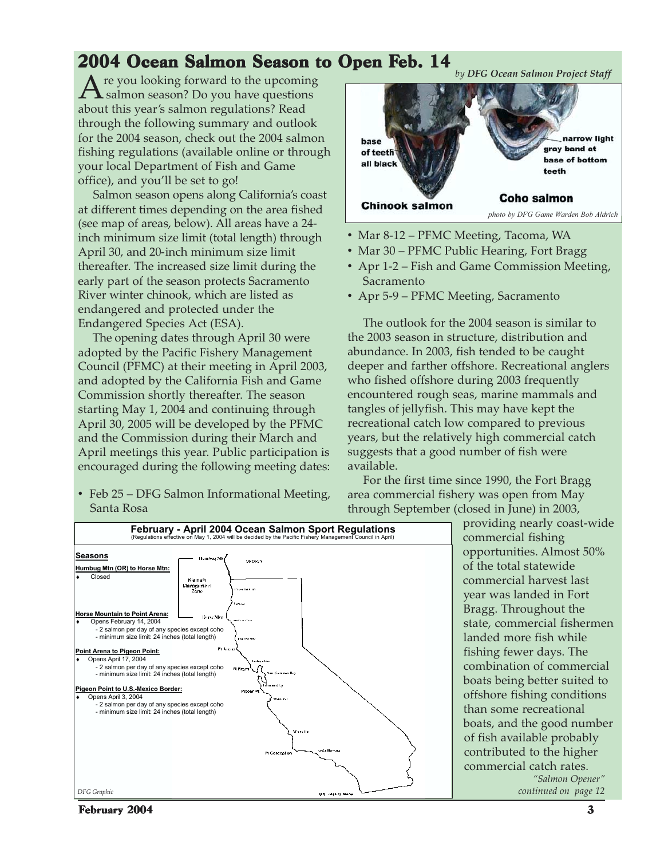## 2004 Ocean Salmon Season to Open Feb. 14

re you looking forward to the upcoming salmon season? Do you have questions about this year's salmon regulations? Read through the following summary and outlook for the 2004 season, check out the 2004 salmon fishing regulations (available online or through your local Department of Fish and Game office), and you'll be set to go!

 Salmon season opens along California's coast at different times depending on the area fished (see map of areas, below). All areas have a 24 inch minimum size limit (total length) through April 30, and 20-inch minimum size limit thereafter. The increased size limit during the early part of the season protects Sacramento River winter chinook, which are listed as endangered and protected under the Endangered Species Act (ESA).

 The opening dates through April 30 were adopted by the Pacific Fishery Management Council (PFMC) at their meeting in April 2003, and adopted by the California Fish and Game Commission shortly thereafter. The season starting May 1, 2004 and continuing through April 30, 2005 will be developed by the PFMC and the Commission during their March and April meetings this year. Public participation is encouraged during the following meeting dates:

• Feb 25 – DFG Salmon Informational Meeting, Santa Rosa



- Mar 8-12 PFMC Meeting, Tacoma, WA
- Mar 30 PFMC Public Hearing, Fort Bragg
- Apr 1-2 Fish and Game Commission Meeting, Sacramento
- Apr 5-9 PFMC Meeting, Sacramento

 The outlook for the 2004 season is similar to the 2003 season in structure, distribution and abundance. In 2003, fish tended to be caught deeper and farther offshore. Recreational anglers who fished offshore during 2003 frequently encountered rough seas, marine mammals and tangles of jellyfish. This may have kept the recreational catch low compared to previous years, but the relatively high commercial catch suggests that a good number of fish were available.

 For the first time since 1990, the Fort Bragg area commercial fishery was open from May through September (closed in June) in 2003,





February 2004 3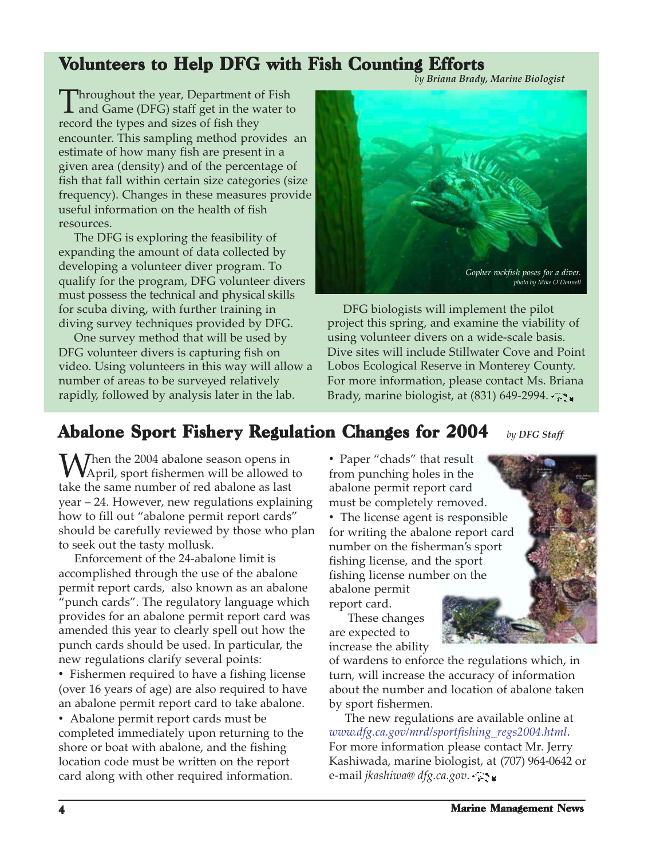## Volunteers to Help DFG with Fish Counting Efforts

*by Briana Brady, Marine Biologist*

Throughout the year, Department of Fish<br>and Game (DFG) staff get in the water to<br>measure the times and since of fish them record the types and sizes of fish they encounter. This sampling method provides an estimate of how many fish are present in a given area (density) and of the percentage of fish that fall within certain size categories (size frequency). Changes in these measures provide useful information on the health of fish resources.

 The DFG is exploring the feasibility of expanding the amount of data collected by developing a volunteer diver program. To qualify for the program, DFG volunteer divers must possess the technical and physical skills for scuba diving, with further training in diving survey techniques provided by DFG.

 One survey method that will be used by DFG volunteer divers is capturing fish on video. Using volunteers in this way will allow a number of areas to be surveyed relatively rapidly, followed by analysis later in the lab.



 DFG biologists will implement the pilot project this spring, and examine the viability of using volunteer divers on a wide-scale basis. Dive sites will include Stillwater Cove and Point Lobos Ecological Reserve in Monterey County. For more information, please contact Ms. Briana Brady, marine biologist, at  $(831)$  649-2994.

## Abalone Sport Fishery Regulation Changes for 2004 *by DFG Staff*

When the 2004 abalone season opens in April, sport fishermen will be allowed to take the same number of red abalone as last year – 24. However, new regulations explaining how to fill out "abalone permit report cards" should be carefully reviewed by those who plan to seek out the tasty mollusk.

 Enforcement of the 24-abalone limit is accomplished through the use of the abalone permit report cards, also known as an abalone "punch cards". The regulatory language which provides for an abalone permit report card was amended this year to clearly spell out how the punch cards should be used. In particular, the new regulations clarify several points:

• Fishermen required to have a fishing license (over 16 years of age) are also required to have an abalone permit report card to take abalone.

• Abalone permit report cards must be completed immediately upon returning to the shore or boat with abalone, and the fishing location code must be written on the report card along with other required information.

• Paper "chads" that result from punching holes in the abalone permit report card must be completely removed.

• The license agent is responsible for writing the abalone report card number on the fisherman's sport fishing license, and the sport fishing license number on the abalone permit report card.

 These changes are expected to increase the ability

of wardens to enforce the regulations which, in turn, will increase the accuracy of information about the number and location of abalone taken by sport fishermen.

 The new regulations are available online at *www.dfg.ca.gov/mrd/sportfishing\_regs2004.html*. For more information please contact Mr. Jerry Kashiwada, marine biologist, at (707) 964-0642 or e-mail *jkashiwa@ dfg.ca.gov*.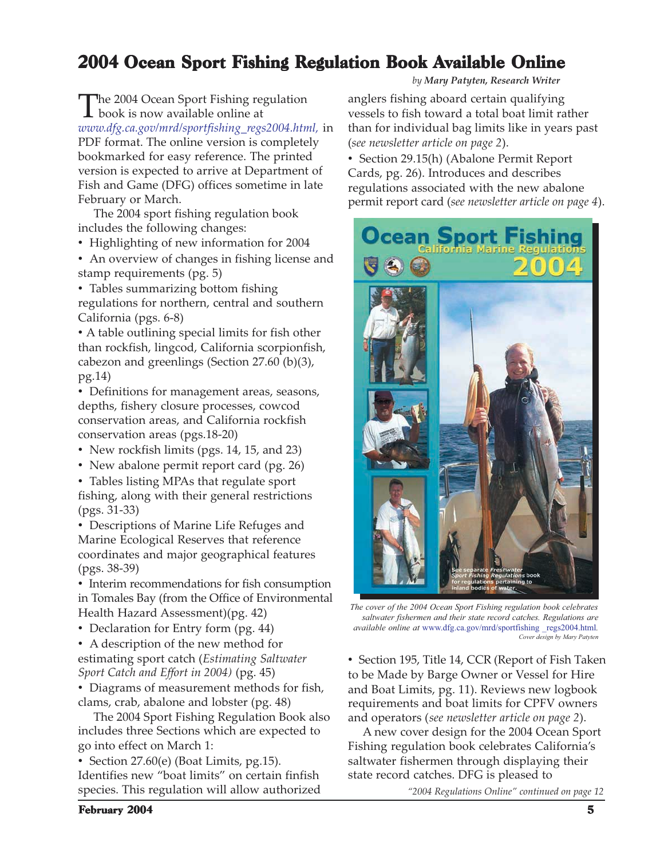## 2004 Ocean Sport Fishing Regulation Book Available Online

The 2004 Ocean Sport Fishing regulation book is now available online at *www.dfg.ca.gov/mrd/sportfishing\_regs2004.html,* in PDF format. The online version is completely bookmarked for easy reference. The printed version is expected to arrive at Department of Fish and Game (DFG) offices sometime in late February or March.

 The 2004 sport fishing regulation book includes the following changes:

• Highlighting of new information for 2004

• An overview of changes in fishing license and stamp requirements (pg. 5)

• Tables summarizing bottom fishing regulations for northern, central and southern California (pgs. 6-8)

• A table outlining special limits for fish other than rockfish, lingcod, California scorpionfish, cabezon and greenlings (Section 27.60 (b)(3), pg.14)

• Definitions for management areas, seasons, depths, fishery closure processes, cowcod conservation areas, and California rockfish conservation areas (pgs.18-20)

• New rockfish limits (pgs. 14, 15, and 23)

• New abalone permit report card (pg. 26)

• Tables listing MPAs that regulate sport fishing, along with their general restrictions (pgs. 31-33)

• Descriptions of Marine Life Refuges and Marine Ecological Reserves that reference coordinates and major geographical features (pgs. 38-39)

• Interim recommendations for fish consumption in Tomales Bay (from the Office of Environmental Health Hazard Assessment)(pg. 42)

• Declaration for Entry form (pg. 44)

• A description of the new method for estimating sport catch (*Estimating Saltwater Sport Catch and Effort in 2004)* (pg. 45)

• Diagrams of measurement methods for fish, clams, crab, abalone and lobster (pg. 48)

 The 2004 Sport Fishing Regulation Book also includes three Sections which are expected to go into effect on March 1:

• Section 27.60(e) (Boat Limits, pg.15). Identifies new "boat limits" on certain finfish species. This regulation will allow authorized *by Mary Patyten, Research Writer*

anglers fishing aboard certain qualifying vessels to fish toward a total boat limit rather than for individual bag limits like in years past (*see newsletter article on page 2*).

• Section 29.15(h) (Abalone Permit Report Cards, pg. 26). Introduces and describes regulations associated with the new abalone permit report card (*see newsletter article on page 4*).



*The cover of the 2004 Ocean Sport Fishing regulation book celebrates saltwater fishermen and their state record catches. Regulations are available online at* www.dfg.ca.gov/mrd/sportfishing \_regs2004.html*. Cover design by Mary Patyten*

• Section 195, Title 14, CCR (Report of Fish Taken to be Made by Barge Owner or Vessel for Hire and Boat Limits, pg. 11). Reviews new logbook requirements and boat limits for CPFV owners and operators (*see newsletter article on page 2*).

 A new cover design for the 2004 Ocean Sport Fishing regulation book celebrates California's saltwater fishermen through displaying their state record catches. DFG is pleased to

*"2004 Regulations Online" continued on page 12*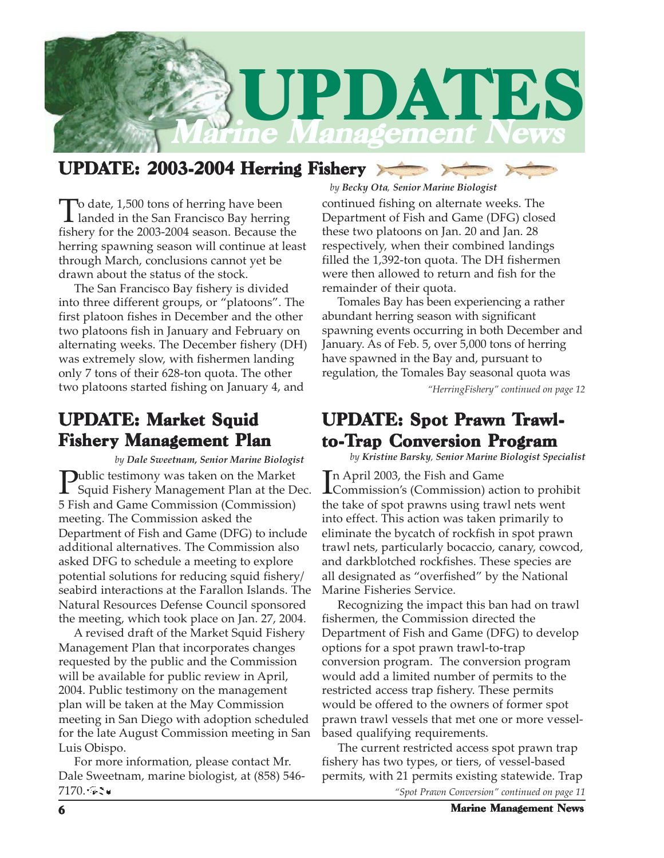

## UPDATE: 2003-2004 Herring Fishery

To date, 1,500 tons of herring have been landed in the San Francisco Bay herring fishery for the 2003-2004 season. Because the herring spawning season will continue at least through March, conclusions cannot yet be drawn about the status of the stock.

 The San Francisco Bay fishery is divided into three different groups, or "platoons". The first platoon fishes in December and the other two platoons fish in January and February on alternating weeks. The December fishery (DH) was extremely slow, with fishermen landing only 7 tons of their 628-ton quota. The other two platoons started fishing on January 4, and *"HerringFishery" continued on page 12*

## UPDATE: Market Squid Fishery Management Plan

*by Dale Sweetnam, Senior Marine Biologist*

**Public testimony was taken on the Market** Squid Fishery Management Plan at the Dec. 5 Fish and Game Commission (Commission) meeting. The Commission asked the Department of Fish and Game (DFG) to include additional alternatives. The Commission also asked DFG to schedule a meeting to explore potential solutions for reducing squid fishery/ seabird interactions at the Farallon Islands. The Natural Resources Defense Council sponsored the meeting, which took place on Jan. 27, 2004.

 A revised draft of the Market Squid Fishery Management Plan that incorporates changes requested by the public and the Commission will be available for public review in April, 2004. Public testimony on the management plan will be taken at the May Commission meeting in San Diego with adoption scheduled for the late August Commission meeting in San Luis Obispo.

 For more information, please contact Mr. Dale Sweetnam, marine biologist, at (858) 546-  $7170.$ 

#### *by Becky Ota, Senior Marine Biologist*

continued fishing on alternate weeks. The Department of Fish and Game (DFG) closed these two platoons on Jan. 20 and Jan. 28 respectively, when their combined landings filled the 1,392-ton quota. The DH fishermen were then allowed to return and fish for the remainder of their quota.

 Tomales Bay has been experiencing a rather abundant herring season with significant spawning events occurring in both December and January. As of Feb. 5, over 5,000 tons of herring have spawned in the Bay and, pursuant to regulation, the Tomales Bay seasonal quota was

## UPDATE: Spot Prawn Trawlto-Trap Conversion Program

*by Kristine Barsky, Senior Marine Biologist Specialist*

In April 2003, the Fish and Game<br>Commission's (Commission) act Commission's (Commission) action to prohibit the take of spot prawns using trawl nets went into effect. This action was taken primarily to eliminate the bycatch of rockfish in spot prawn trawl nets, particularly bocaccio, canary, cowcod, and darkblotched rockfishes. These species are all designated as "overfished" by the National Marine Fisheries Service.

 Recognizing the impact this ban had on trawl fishermen, the Commission directed the Department of Fish and Game (DFG) to develop options for a spot prawn trawl-to-trap conversion program. The conversion program would add a limited number of permits to the restricted access trap fishery. These permits would be offered to the owners of former spot prawn trawl vessels that met one or more vesselbased qualifying requirements.

 The current restricted access spot prawn trap fishery has two types, or tiers, of vessel-based permits, with 21 permits existing statewide. Trap

*"Spot Prawn Conversion" continued on page 11*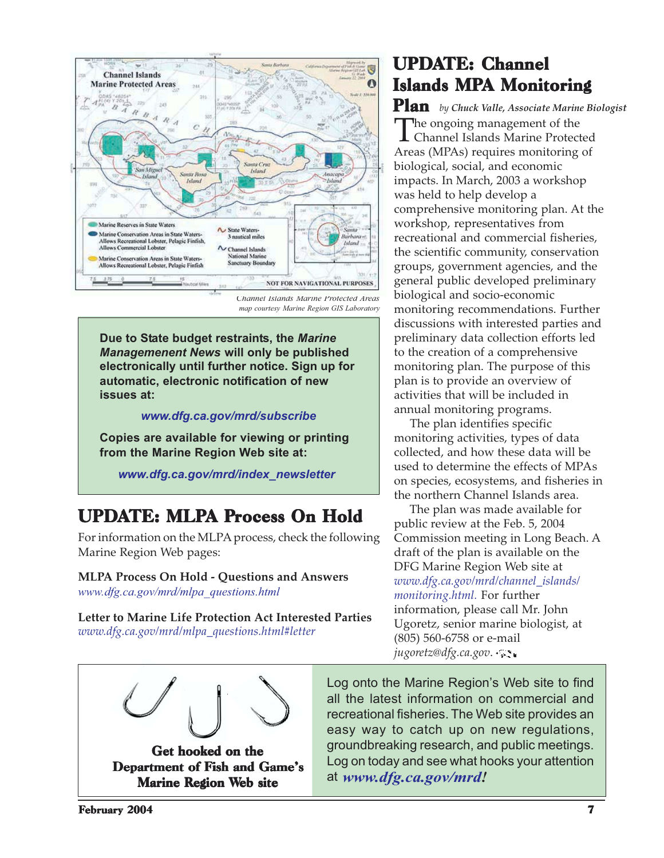

*Channel Islands Marine Protected Areas map courtesy Marine Region GIS Laboratory*

**Due to State budget restraints, the** *Marine Managemenent News* **will only be published electronically until further notice. Sign up for automatic, electronic notification of new issues at:**

#### *www.dfg.ca.gov/mrd/subscribe*

**Copies are available for viewing or printing from the Marine Region Web site at:**

*www.dfg.ca.gov/mrd/index\_newsletter*

## UPDATE: MLPA Process On Hold

For information on the MLPA process, check the following Marine Region Web pages:

### **MLPA Process On Hold - Questions and Answers**

*www.dfg.ca.gov/mrd/mlpa\_questions.html*

**Letter to Marine Life Protection Act Interested Parties** *www.dfg.ca.gov/mrd/mlpa\_questions.html#letter*

## **UPDATE: Channel Islands MPA Monitoring**

Plan *by Chuck Valle, Associate Marine Biologist* The ongoing management of the Channel Islands Marine Protected Areas (MPAs) requires monitoring of biological, social, and economic impacts. In March, 2003 a workshop was held to help develop a comprehensive monitoring plan. At the workshop, representatives from recreational and commercial fisheries, the scientific community, conservation groups, government agencies, and the general public developed preliminary biological and socio-economic monitoring recommendations. Further discussions with interested parties and preliminary data collection efforts led to the creation of a comprehensive monitoring plan. The purpose of this plan is to provide an overview of activities that will be included in annual monitoring programs.

 The plan identifies specific monitoring activities, types of data collected, and how these data will be used to determine the effects of MPAs on species, ecosystems, and fisheries in the northern Channel Islands area.

 The plan was made available for public review at the Feb. 5, 2004 Commission meeting in Long Beach. A draft of the plan is available on the DFG Marine Region Web site at *www.dfg.ca.gov/mrd/channel\_islands/ monitoring.html.* For further information, please call Mr. John Ugoretz, senior marine biologist, at (805) 560-6758 or e-mail *jugoretz@dfg.ca.gov*.

Get hooked on the Department of Fish and Game's Marine Region Web site

Log onto the Marine Region's Web site to find all the latest information on commercial and recreational fisheries. The Web site provides an easy way to catch up on new regulations, groundbreaking research, and public meetings. Log on today and see what hooks your attention at *www.dfg.ca.gov/mrd!*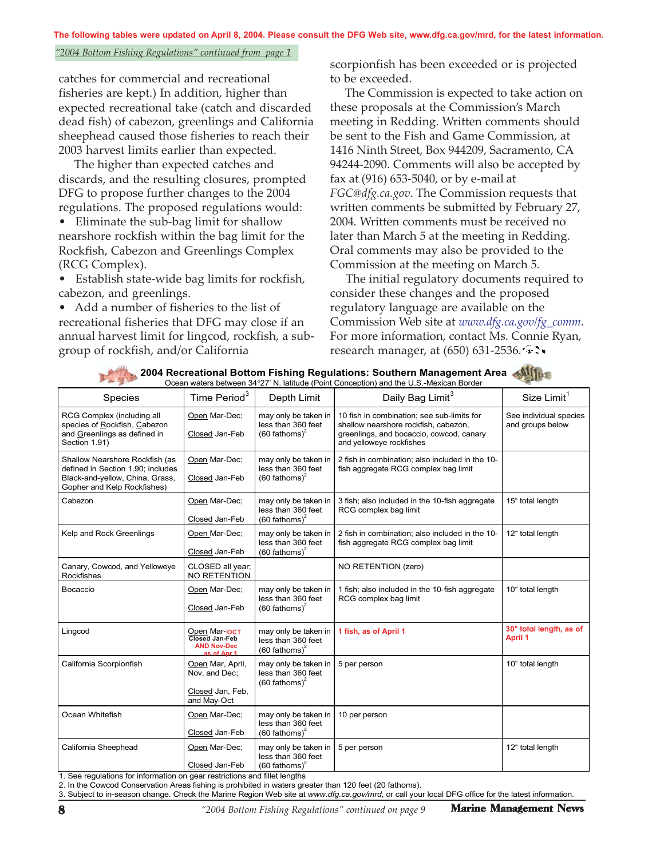**The following tables were updated on April 8, 2004. Please consult the DFG Web site, www.dfg.ca.gov/mrd, for the latest information.**

#### *"2004 Bottom Fishing Regulations" continued from page 1*

catches for commercial and recreational fisheries are kept.) In addition, higher than expected recreational take (catch and discarded dead fish) of cabezon, greenlings and California sheephead caused those fisheries to reach their 2003 harvest limits earlier than expected.

 The higher than expected catches and discards, and the resulting closures, prompted DFG to propose further changes to the 2004 regulations. The proposed regulations would:

• Eliminate the sub-bag limit for shallow nearshore rockfish within the bag limit for the Rockfish, Cabezon and Greenlings Complex (RCG Complex).

• Establish state-wide bag limits for rockfish, cabezon, and greenlings.

• Add a number of fisheries to the list of recreational fisheries that DFG may close if an annual harvest limit for lingcod, rockfish, a subgroup of rockfish, and/or California

scorpionfish has been exceeded or is projected to be exceeded.

 The Commission is expected to take action on these proposals at the Commission's March meeting in Redding. Written comments should be sent to the Fish and Game Commission, at 1416 Ninth Street, Box 944209, Sacramento, CA 94244-2090. Comments will also be accepted by fax at (916) 653-5040, or by e-mail at *FGC@dfg.ca.gov*. The Commission requests that written comments be submitted by February 27, 2004. Written comments must be received no later than March 5 at the meeting in Redding. Oral comments may also be provided to the Commission at the meeting on March 5.

 The initial regulatory documents required to consider these changes and the proposed regulatory language are available on the Commission Web site at *www.dfg.ca.gov/fg\_comm*. For more information, contact Ms. Connie Ryan, research manager, at (650) 631-2536.

|                                                                                                                                       |                                                                         |                                                                                             | Ocean waters between 34°27' N. latitude (Point Conception) and the U.S.-Mexican Border                                                                     | <b>START</b>                               |
|---------------------------------------------------------------------------------------------------------------------------------------|-------------------------------------------------------------------------|---------------------------------------------------------------------------------------------|------------------------------------------------------------------------------------------------------------------------------------------------------------|--------------------------------------------|
| Species                                                                                                                               | Time Period <sup>3</sup>                                                | Depth Limit                                                                                 | Daily Bag Limit <sup>3</sup>                                                                                                                               | Size Limit <sup>1</sup>                    |
| RCG Complex (including all<br>species of Rockfish, Cabezon<br>and Greenlings as defined in<br>Section 1.91)                           | Open Mar-Dec;<br>Closed Jan-Feb                                         | may only be taken in<br>less than 360 feet<br>$(60$ fathoms) <sup>2</sup>                   | 10 fish in combination; see sub-limits for<br>shallow nearshore rockfish, cabezon,<br>greenlings, and bocaccio, cowcod, canary<br>and yelloweye rockfishes | See individual species<br>and groups below |
| Shallow Nearshore Rockfish (as<br>defined in Section 1.90: includes<br>Black-and-yellow, China, Grass,<br>Gopher and Kelp Rockfishes) | Open Mar-Dec;<br>Closed Jan-Feb                                         | may only be taken in<br>less than 360 feet<br>$(60$ fathoms) <sup>2</sup>                   | 2 fish in combination; also included in the 10-<br>fish aggregate RCG complex bag limit                                                                    |                                            |
| Cabezon                                                                                                                               | Open Mar-Dec;<br>Closed Jan-Feb                                         | may only be taken in<br>less than 360 feet<br>$(60$ fathoms) <sup>2</sup>                   | 3 fish; also included in the 10-fish aggregate<br>RCG complex bag limit                                                                                    | 15" total length                           |
| Kelp and Rock Greenlings                                                                                                              | Open Mar-Dec:<br>Closed Jan-Feb                                         | may only be taken in<br>less than 360 feet<br>$(60$ fathoms) <sup>2</sup>                   | 2 fish in combination; also included in the 10-<br>fish aggregate RCG complex bag limit                                                                    | 12" total length                           |
| Canary, Cowcod, and Yelloweye<br><b>Rockfishes</b>                                                                                    | CLOSED all year;<br><b>NO RETENTION</b>                                 |                                                                                             | NO RETENTION (zero)                                                                                                                                        |                                            |
| Bocaccio                                                                                                                              | Open Mar-Dec;<br>Closed Jan-Feb                                         | may only be taken in<br>less than 360 feet<br>$(60 \text{ fathoms})^2$                      | 1 fish; also included in the 10-fish aggregate<br>RCG complex bag limit                                                                                    | 10" total length                           |
| Lingcod                                                                                                                               | Open Mar-OCT<br>Closed Jan-Feb<br><b>AND Nov-Dec</b><br>$ae$ of $Anr 1$ | may only be taken in<br>less than 360 feet<br>$(60$ fathoms) <sup>2</sup>                   | 1 fish, as of April 1                                                                                                                                      | 30" total length, as of<br><b>April 1</b>  |
| California Scorpionfish                                                                                                               | Open Mar, April,<br>Nov, and Dec;<br>Closed Jan, Feb,<br>and May-Oct    | may only be taken in<br>less than 360 feet<br>$(60$ fathoms) <sup>2</sup>                   | 5 per person                                                                                                                                               | 10" total length                           |
| Ocean Whitefish                                                                                                                       | Open Mar-Dec;<br>Closed Jan-Feb                                         | may only be taken in<br>less than 360 feet<br>$(60$ fathoms) <sup>2</sup>                   | 10 per person                                                                                                                                              |                                            |
| California Sheephead                                                                                                                  | Open Mar-Dec;<br>Closed Jan-Feb                                         | may only be taken in<br>less than 360 feet<br>$(60$ fathoms) <sup>2</sup><br>$1.001 - 1.01$ | 5 per person                                                                                                                                               | 12" total length                           |

**2004 Recreational Bottom Fishing Regulations: Southern Management Area** 

1. See regulations for information on gear restrictions and fillet lengths

2. In the Cowcod Conservation Areas fishing is prohibited in waters greater than 120 feet (20 fathoms).

3. Subject to in-season change. Check the Marine Region Web site at *www.dfg.ca.gov/mrd*, or call your local DFG office for the latest information.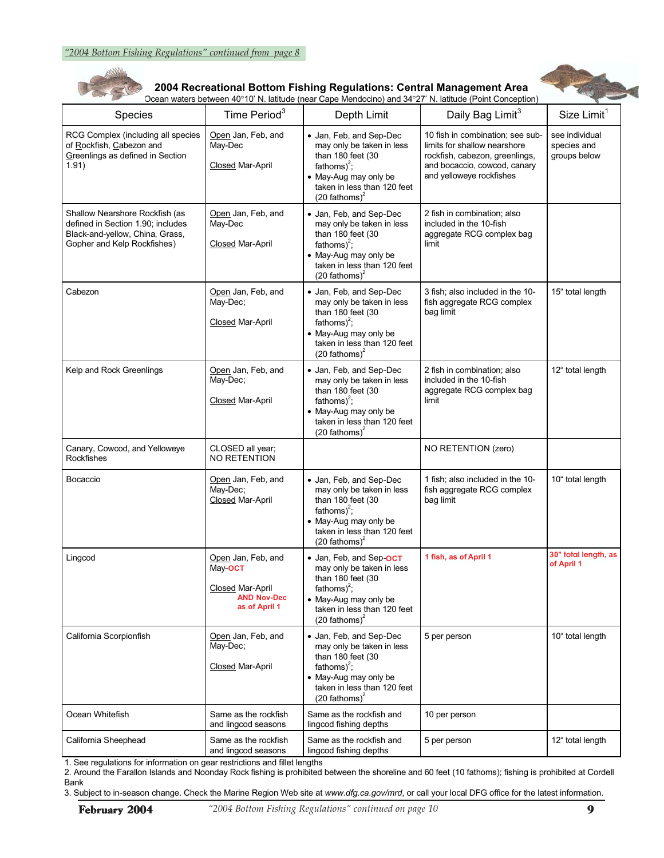

#### **2004 Recreational Bottom Fishing Regulations: Central Management Area**

Ocean waters between 40°10' N. latitude (near Cape Mendocino) and 34°27' N. latitude (Point Conception)



| Species                                                                                                                               | Time Period <sup>3</sup>                                                                 | Depth Limit                                                                                                                                                                                 | Daily Bag Limit <sup>3</sup>                                                                                                                                   | Size Limit <sup>1</sup>                       |
|---------------------------------------------------------------------------------------------------------------------------------------|------------------------------------------------------------------------------------------|---------------------------------------------------------------------------------------------------------------------------------------------------------------------------------------------|----------------------------------------------------------------------------------------------------------------------------------------------------------------|-----------------------------------------------|
| RCG Complex (including all species<br>of Rockfish, Cabezon and<br>Greenlings as defined in Section<br>1.91)                           | Open Jan, Feb, and<br>May-Dec<br><b>Closed Mar-April</b>                                 | • Jan, Feb, and Sep-Dec<br>may only be taken in less<br>than 180 feet (30<br>fathoms) <sup>2</sup> ;<br>• May-Aug may only be<br>taken in less than 120 feet<br>$(20$ fathoms) <sup>2</sup> | 10 fish in combination; see sub-<br>limits for shallow nearshore<br>rockfish, cabezon, greenlings,<br>and bocaccio, cowcod, canary<br>and yelloweye rockfishes | see individual<br>species and<br>groups below |
| Shallow Nearshore Rockfish (as<br>defined in Section 1.90; includes<br>Black-and-yellow, China, Grass,<br>Gopher and Kelp Rockfishes) | Open Jan, Feb, and<br>May-Dec<br>Closed Mar-April                                        | • Jan, Feb, and Sep-Dec<br>may only be taken in less<br>than 180 feet (30<br>fathoms) <sup>2</sup> ;<br>• May-Aug may only be<br>taken in less than 120 feet<br>$(20 \text{ fathoms})^2$    | 2 fish in combination; also<br>included in the 10-fish<br>aggregate RCG complex bag<br>limit                                                                   |                                               |
| Cabezon                                                                                                                               | Open Jan, Feb, and<br>May-Dec;<br><b>Closed Mar-April</b>                                | • Jan, Feb, and Sep-Dec<br>may only be taken in less<br>than 180 feet (30<br>fathoms) <sup>2</sup> :<br>• May-Aug may only be<br>taken in less than 120 feet<br>$(20 \text{ fathoms})^2$    | 3 fish; also included in the 10-<br>fish aggregate RCG complex<br>bag limit                                                                                    | 15" total length                              |
| Kelp and Rock Greenlings                                                                                                              | Open Jan, Feb, and<br>May-Dec;<br>Closed Mar-April                                       | • Jan, Feb, and Sep-Dec<br>may only be taken in less<br>than 180 feet (30<br>fathoms) <sup>2</sup> ;<br>• May-Aug may only be<br>taken in less than 120 feet<br>$(20 \text{ fathoms})^2$    | 2 fish in combination; also<br>included in the 10-fish<br>aggregate RCG complex bag<br>limit                                                                   | 12" total length                              |
| Canary, Cowcod, and Yelloweye<br>Rockfishes                                                                                           | CLOSED all year;<br>NO RETENTION                                                         |                                                                                                                                                                                             | NO RETENTION (zero)                                                                                                                                            |                                               |
| <b>Bocaccio</b>                                                                                                                       | Open Jan, Feb, and<br>May-Dec;<br><b>Closed Mar-April</b>                                | • Jan, Feb, and Sep-Dec<br>may only be taken in less<br>than 180 feet (30<br>fathoms) <sup>2</sup> ;<br>• May-Aug may only be<br>taken in less than 120 feet<br>$(20 \text{ fathoms})^2$    | 1 fish; also included in the 10-<br>fish aggregate RCG complex<br>bag limit                                                                                    | 10" total length                              |
| Lingcod                                                                                                                               | Open Jan, Feb, and<br>May-OCT<br>Closed Mar-April<br><b>AND Nov-Dec</b><br>as of April 1 | • Jan, Feb, and Sep-OCT<br>may only be taken in less<br>than 180 feet (30<br>fathoms) $^{2}$ ;<br>• May-Aug may only be<br>taken in less than 120 feet<br>$(20 \text{ fathoms})^2$          | 1 fish, as of April 1                                                                                                                                          | 30" total length, as<br>of April 1            |
| California Scorpionfish                                                                                                               | Open Jan, Feb, and<br>May-Dec;<br>Closed Mar-April                                       | • Jan, Feb, and Sep-Dec<br>may only be taken in less<br>than 180 feet (30<br>fathoms) <sup>2</sup> ;<br>• May-Aug may only be<br>taken in less than 120 feet<br>$(20 \text{ fathoms})^2$    | 5 per person                                                                                                                                                   | 10" total length                              |
| Ocean Whitefish                                                                                                                       | Same as the rockfish<br>and lingcod seasons                                              | Same as the rockfish and<br>lingcod fishing depths                                                                                                                                          | 10 per person                                                                                                                                                  |                                               |
| California Sheephead                                                                                                                  | Same as the rockfish<br>and lingcod seasons                                              | Same as the rockfish and<br>lingcod fishing depths                                                                                                                                          | 5 per person                                                                                                                                                   | 12" total length                              |

1. See regulations for information on gear restrictions and fillet lengths

2. Around the Farallon Islands and Noonday Rock fishing is prohibited between the shoreline and 60 feet (10 fathoms); fishing is prohibited at Cordell Bank

3. Subject to in-season change. Check the Marine Region Web site at *www.dfg.ca.gov/mrd*, or call your local DFG office for the latest information.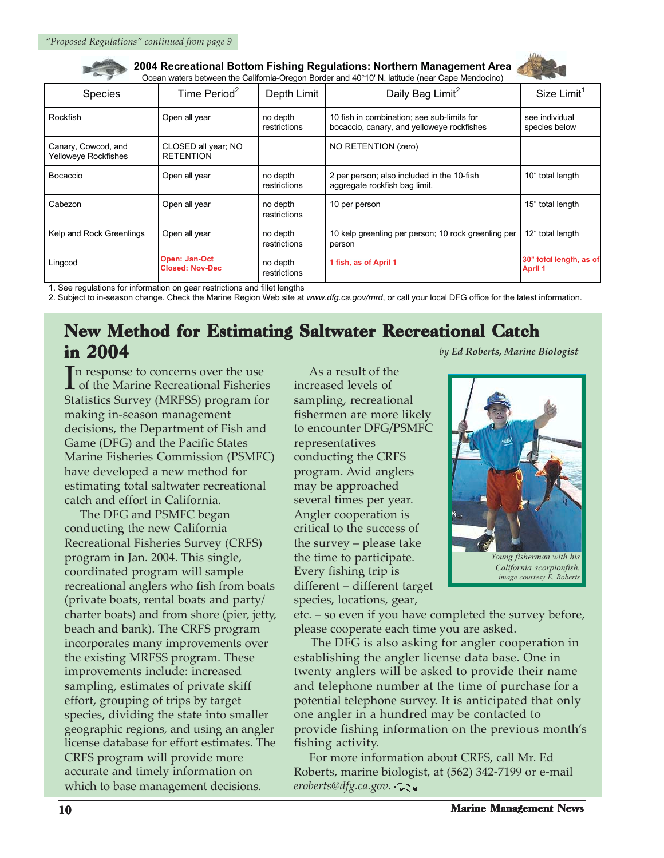**2004 Recreational Bottom Fishing Regulations: Northern Management Area**  Ocean waters between the California-Oregon Border and 40°10' N. latitude (near Cape Mendocino)



| Species                                            | Time Period $2$                         | Depth Limit              | Daily Bag Limit <sup>2</sup>                                                             | Size Limit <sup>1</sup>                   |
|----------------------------------------------------|-----------------------------------------|--------------------------|------------------------------------------------------------------------------------------|-------------------------------------------|
| Rockfish                                           | Open all year                           | no depth<br>restrictions | 10 fish in combination; see sub-limits for<br>bocaccio, canary, and yelloweye rockfishes | see individual<br>species below           |
| Canary, Cowcod, and<br><b>Yelloweye Rockfishes</b> | CLOSED all year; NO<br><b>RETENTION</b> |                          | NO RETENTION (zero)                                                                      |                                           |
| Bocaccio                                           | Open all year                           | no depth<br>restrictions | 2 per person; also included in the 10-fish<br>aggregate rockfish bag limit.              | 10" total length                          |
| Cabezon                                            | Open all year                           | no depth<br>restrictions | 10 per person                                                                            | 15" total length                          |
| Kelp and Rock Greenlings                           | Open all year                           | no depth<br>restrictions | 10 kelp greenling per person; 10 rock greenling per<br>person                            | 12" total length                          |
| Lingcod                                            | Open: Jan-Oct<br><b>Closed: Nov-Dec</b> | no depth<br>restrictions | 1 fish, as of April 1                                                                    | 30" total length, as of<br><b>April 1</b> |

1. See regulations for information on gear restrictions and fillet lengths<br>2. Subject to in-season change. Check the Marine Region Web site at www.dfg.ca.gov/mrd, or call your local DFG office for the latest information.

## New Method for Estimating Saltwater Recreational Catch in 2004 *by Ed Roberts, Marine Biologist*

In response to concerns over the use<br>of the Marine Recreational Fisherie of the Marine Recreational Fisheries Statistics Survey (MRFSS) program for making in-season management decisions, the Department of Fish and Game (DFG) and the Pacific States Marine Fisheries Commission (PSMFC) have developed a new method for estimating total saltwater recreational catch and effort in California.

 The DFG and PSMFC began conducting the new California Recreational Fisheries Survey (CRFS) program in Jan. 2004. This single, coordinated program will sample recreational anglers who fish from boats (private boats, rental boats and party/ charter boats) and from shore (pier, jetty, beach and bank). The CRFS program incorporates many improvements over the existing MRFSS program. These improvements include: increased sampling, estimates of private skiff effort, grouping of trips by target species, dividing the state into smaller geographic regions, and using an angler license database for effort estimates. The CRFS program will provide more accurate and timely information on which to base management decisions.

 As a result of the increased levels of sampling, recreational fishermen are more likely to encounter DFG/PSMFC representatives conducting the CRFS program. Avid anglers may be approached several times per year. Angler cooperation is critical to the success of the survey – please take the time to participate. Every fishing trip is different – different target species, locations, gear,



*California scorpionfish. image courtesy E. Roberts*

etc. – so even if you have completed the survey before, please cooperate each time you are asked.

 The DFG is also asking for angler cooperation in establishing the angler license data base. One in twenty anglers will be asked to provide their name and telephone number at the time of purchase for a potential telephone survey. It is anticipated that only one angler in a hundred may be contacted to provide fishing information on the previous month's fishing activity.

 For more information about CRFS, call Mr. Ed Roberts, marine biologist, at (562) 342-7199 or e-mail *eroberts@dfg.ca.gov*.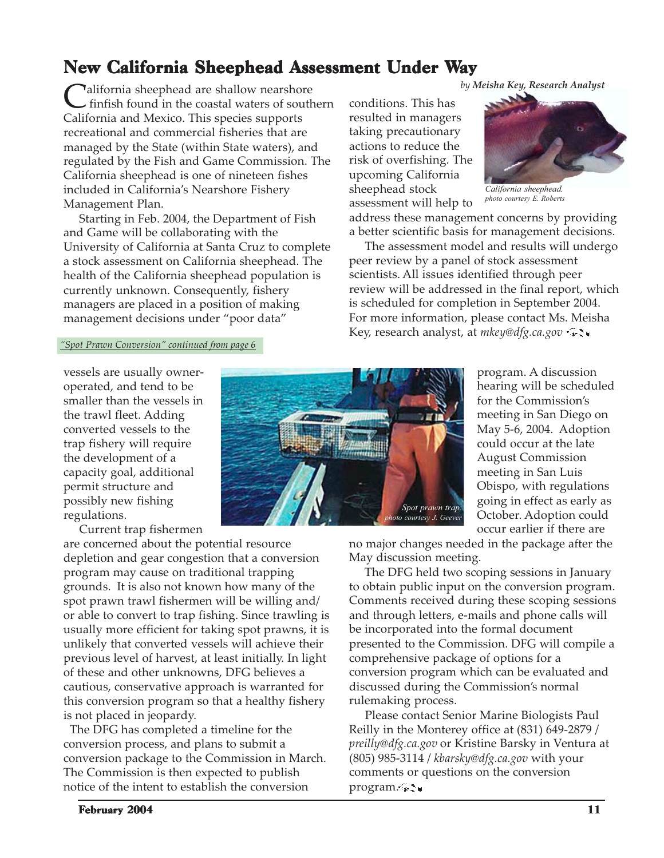## New California Sheephead Assessment Under Way

**C**alifornia sheephead are shallow nearshore<br>
finfish found in the coastal waters of southern conditions. This has<br> **California and Marine This processes** California and Mexico. This species supports recreational and commercial fisheries that are managed by the State (within State waters), and regulated by the Fish and Game Commission. The California sheephead is one of nineteen fishes included in California's Nearshore Fishery Management Plan.

 Starting in Feb. 2004, the Department of Fish and Game will be collaborating with the University of California at Santa Cruz to complete a stock assessment on California sheephead. The health of the California sheephead population is currently unknown. Consequently, fishery managers are placed in a position of making management decisions under "poor data"

conditions. This has resulted in managers taking precautionary actions to reduce the risk of overfishing. The upcoming California sheephead stock assessment will help to



*California sheephead. photo courtesy E. Roberts*

address these management concerns by providing a better scientific basis for management decisions.

 The assessment model and results will undergo peer review by a panel of stock assessment scientists. All issues identified through peer review will be addressed in the final report, which is scheduled for completion in September 2004. For more information, please contact Ms. Meisha Key, research analyst, at *mkey@dfg.ca.gov*

#### *"Spot Prawn Conversion" continued from page 6*

vessels are usually owneroperated, and tend to be smaller than the vessels in the trawl fleet. Adding converted vessels to the trap fishery will require the development of a capacity goal, additional permit structure and possibly new fishing regulations.

Current trap fishermen

are concerned about the potential resource depletion and gear congestion that a conversion program may cause on traditional trapping grounds. It is also not known how many of the spot prawn trawl fishermen will be willing and/ or able to convert to trap fishing. Since trawling is usually more efficient for taking spot prawns, it is unlikely that converted vessels will achieve their previous level of harvest, at least initially. In light of these and other unknowns, DFG believes a cautious, conservative approach is warranted for this conversion program so that a healthy fishery is not placed in jeopardy.

 The DFG has completed a timeline for the conversion process, and plans to submit a conversion package to the Commission in March. The Commission is then expected to publish notice of the intent to establish the conversion



program. A discussion hearing will be scheduled for the Commission's meeting in San Diego on May 5-6, 2004. Adoption could occur at the late August Commission meeting in San Luis Obispo, with regulations going in effect as early as October. Adoption could occur earlier if there are

no major changes needed in the package after the May discussion meeting.

 The DFG held two scoping sessions in January to obtain public input on the conversion program. Comments received during these scoping sessions and through letters, e-mails and phone calls will be incorporated into the formal document presented to the Commission. DFG will compile a comprehensive package of options for a conversion program which can be evaluated and discussed during the Commission's normal rulemaking process.

 Please contact Senior Marine Biologists Paul Reilly in the Monterey office at (831) 649-2879 / *preilly@dfg.ca.gov* or Kristine Barsky in Ventura at (805) 985-3114 / *kbarsky@dfg.ca.gov* with your comments or questions on the conversion program...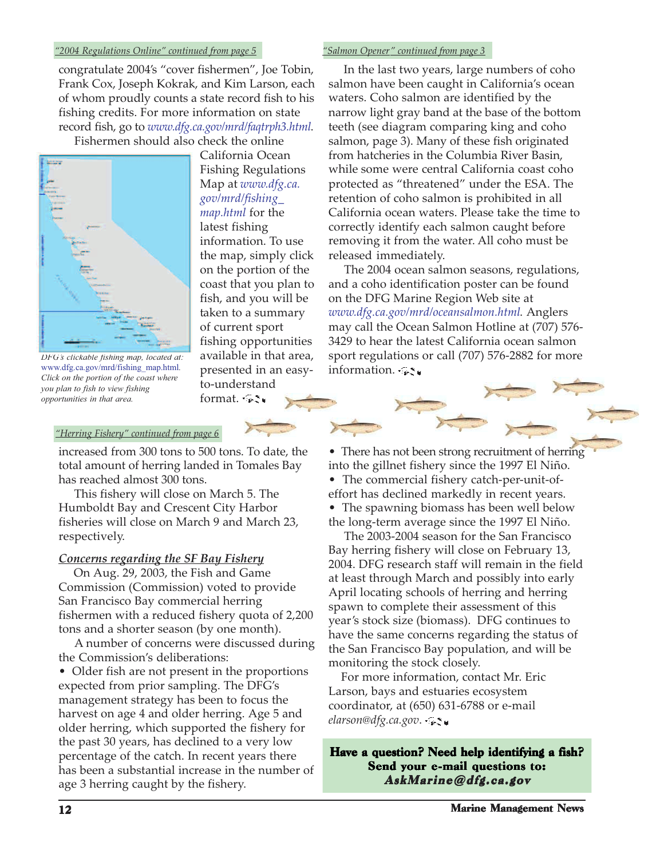#### *"2004 Regulations Online" continued from page 5 "Salmon Opener" continued from page 3*

congratulate 2004's "cover fishermen", Joe Tobin, Frank Cox, Joseph Kokrak, and Kim Larson, each of whom proudly counts a state record fish to his fishing credits. For more information on state record fish, go to *www.dfg.ca.gov/mrd/faqtrph3.html*.

Fishermen should also check the online



*DFG's clickable fishing map, located at:* www.dfg.ca.gov/mrd/fishing\_map.html*. Click on the portion of the coast where you plan to fish to view fishing opportunities in that area.*

California Ocean Fishing Regulations Map at *www.dfg.ca. gov/mrd/fishing\_ map.html* for the latest fishing information. To use the map, simply click on the portion of the coast that you plan to fish, and you will be taken to a summary of current sport fishing opportunities available in that area, presented in an easyto-understand format. \*\*\*

 In the last two years, large numbers of coho salmon have been caught in California's ocean waters. Coho salmon are identified by the narrow light gray band at the base of the bottom teeth (see diagram comparing king and coho salmon, page 3). Many of these fish originated from hatcheries in the Columbia River Basin, while some were central California coast coho protected as "threatened" under the ESA. The retention of coho salmon is prohibited in all California ocean waters. Please take the time to correctly identify each salmon caught before removing it from the water. All coho must be released immediately.

 The 2004 ocean salmon seasons, regulations, and a coho identification poster can be found on the DFG Marine Region Web site at *www.dfg.ca.gov/mrd/oceansalmon.html*. Anglers may call the Ocean Salmon Hotline at (707) 576- 3429 to hear the latest California ocean salmon sport regulations or call (707) 576-2882 for more information.  $\mathcal{F}$ 

#### *"Herring Fishery" continued from page 6*

increased from 300 tons to 500 tons. To date, the total amount of herring landed in Tomales Bay has reached almost 300 tons.

 This fishery will close on March 5. The Humboldt Bay and Crescent City Harbor fisheries will close on March 9 and March 23, respectively.

#### *Concerns regarding the SF Bay Fishery*

 On Aug. 29, 2003, the Fish and Game Commission (Commission) voted to provide San Francisco Bay commercial herring fishermen with a reduced fishery quota of 2,200 tons and a shorter season (by one month).

 A number of concerns were discussed during the Commission's deliberations:

• Older fish are not present in the proportions expected from prior sampling. The DFG's management strategy has been to focus the harvest on age 4 and older herring. Age 5 and older herring, which supported the fishery for the past 30 years, has declined to a very low percentage of the catch. In recent years there has been a substantial increase in the number of age 3 herring caught by the fishery.

• There has not been strong recruitment of herring into the gillnet fishery since the 1997 El Niño.

- The commercial fishery catch-per-unit-ofeffort has declined markedly in recent years.
- The spawning biomass has been well below the long-term average since the 1997 El Niño.

 The 2003-2004 season for the San Francisco Bay herring fishery will close on February 13, 2004. DFG research staff will remain in the field at least through March and possibly into early April locating schools of herring and herring spawn to complete their assessment of this year's stock size (biomass). DFG continues to have the same concerns regarding the status of the San Francisco Bay population, and will be monitoring the stock closely.

 For more information, contact Mr. Eric Larson, bays and estuaries ecosystem coordinator, at (650) 631-6788 or e-mail *elarson@dfg.ca.gov*.

Have a question? Need help identifying a fish? Send your e-mail questions to: AskMarine@dfg.ca.gov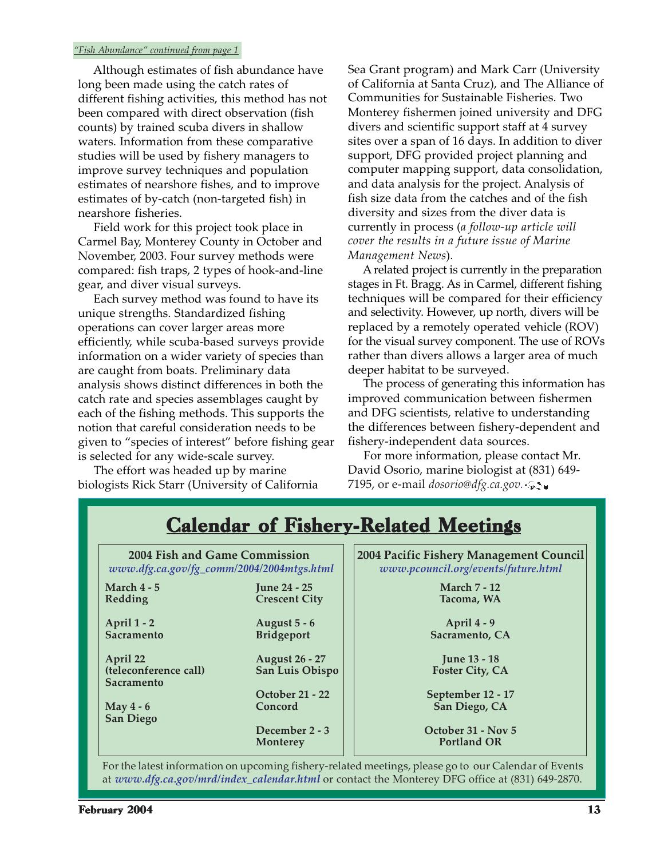#### *"Fish Abundance" continued from page 1*

 Although estimates of fish abundance have long been made using the catch rates of different fishing activities, this method has not been compared with direct observation (fish counts) by trained scuba divers in shallow waters. Information from these comparative studies will be used by fishery managers to improve survey techniques and population estimates of nearshore fishes, and to improve estimates of by-catch (non-targeted fish) in nearshore fisheries.

 Field work for this project took place in Carmel Bay, Monterey County in October and November, 2003. Four survey methods were compared: fish traps, 2 types of hook-and-line gear, and diver visual surveys.

 Each survey method was found to have its unique strengths. Standardized fishing operations can cover larger areas more efficiently, while scuba-based surveys provide information on a wider variety of species than are caught from boats. Preliminary data analysis shows distinct differences in both the catch rate and species assemblages caught by each of the fishing methods. This supports the notion that careful consideration needs to be given to "species of interest" before fishing gear is selected for any wide-scale survey.

 The effort was headed up by marine biologists Rick Starr (University of California Sea Grant program) and Mark Carr (University of California at Santa Cruz), and The Alliance of Communities for Sustainable Fisheries. Two Monterey fishermen joined university and DFG divers and scientific support staff at 4 survey sites over a span of 16 days. In addition to diver support, DFG provided project planning and computer mapping support, data consolidation, and data analysis for the project. Analysis of fish size data from the catches and of the fish diversity and sizes from the diver data is currently in process (*a follow-up article will cover the results in a future issue of Marine Management News*).

 A related project is currently in the preparation stages in Ft. Bragg. As in Carmel, different fishing techniques will be compared for their efficiency and selectivity. However, up north, divers will be replaced by a remotely operated vehicle (ROV) for the visual survey component. The use of ROVs rather than divers allows a larger area of much deeper habitat to be surveyed.

 The process of generating this information has improved communication between fishermen and DFG scientists, relative to understanding the differences between fishery-dependent and fishery-independent data sources.

 For more information, please contact Mr. David Osorio, marine biologist at (831) 649- 7195, or e-mail *dosorio@dfg.ca.gov.*

| 2004 Fish and Game Commission<br>www.dfg.ca.gov/fg_comm/2004/2004mtgs.html |                                             | 2004 Pacific Fishery Management Council<br>www.pcouncil.org/events/future.html |  |
|----------------------------------------------------------------------------|---------------------------------------------|--------------------------------------------------------------------------------|--|
| March $4 - 5$<br>Redding                                                   | <b>June 24 - 25</b><br><b>Crescent City</b> | <b>March 7 - 12</b><br>Tacoma, WA                                              |  |
| April 1 - 2                                                                | August 5 - 6                                | April 4 - 9                                                                    |  |
| <b>Sacramento</b>                                                          | <b>Bridgeport</b>                           | Sacramento, CA                                                                 |  |
| April 22                                                                   | <b>August 26 - 27</b>                       | <b>June 13 - 18</b>                                                            |  |
| (teleconference call)<br><b>Sacramento</b>                                 | San Luis Obispo                             | <b>Foster City, CA</b>                                                         |  |
|                                                                            | <b>October 21 - 22</b>                      | September 12 - 17                                                              |  |
| May 4 - 6<br><b>San Diego</b>                                              | Concord                                     | San Diego, CA                                                                  |  |
|                                                                            | December 2 - 3                              | October 31 - Nov 5                                                             |  |
|                                                                            | Monterey                                    | <b>Portland OR</b>                                                             |  |

at *www.dfg.ca.gov/mrd/index\_calendar.html* or contact the Monterey DFG office at (831) 649-2870.

Calendar of Fishery-Related Meetings